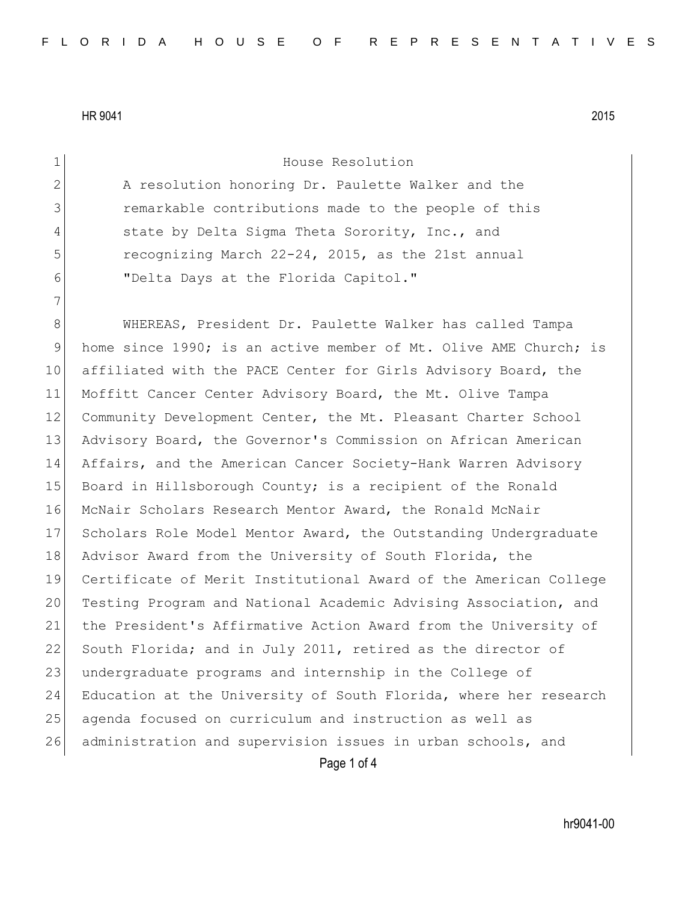| $\mathbf 1$     | House Resolution                                                 |
|-----------------|------------------------------------------------------------------|
| $\mathbf{2}$    | A resolution honoring Dr. Paulette Walker and the                |
| 3               | remarkable contributions made to the people of this              |
| 4               | state by Delta Sigma Theta Sorority, Inc., and                   |
| 5               | recognizing March 22-24, 2015, as the 21st annual                |
| 6               | "Delta Days at the Florida Capitol."                             |
| 7               |                                                                  |
| 8               | WHEREAS, President Dr. Paulette Walker has called Tampa          |
| $\mathsf 9$     | home since 1990; is an active member of Mt. Olive AME Church; is |
| 10 <sub>o</sub> | affiliated with the PACE Center for Girls Advisory Board, the    |
| 11              | Moffitt Cancer Center Advisory Board, the Mt. Olive Tampa        |
| 12              | Community Development Center, the Mt. Pleasant Charter School    |
| 13              | Advisory Board, the Governor's Commission on African American    |
| 14              | Affairs, and the American Cancer Society-Hank Warren Advisory    |
| 15              | Board in Hillsborough County; is a recipient of the Ronald       |
| 16              | McNair Scholars Research Mentor Award, the Ronald McNair         |
| 17              | Scholars Role Model Mentor Award, the Outstanding Undergraduate  |
| 18              | Advisor Award from the University of South Florida, the          |
| 19              | Certificate of Merit Institutional Award of the American College |
| 20              | Testing Program and National Academic Advising Association, and  |
| 21              | the President's Affirmative Action Award from the University of  |
| 22              | South Florida; and in July 2011, retired as the director of      |
| 23              | undergraduate programs and internship in the College of          |
| 24              | Education at the University of South Florida, where her research |
| 25              | agenda focused on curriculum and instruction as well as          |
| 26              | administration and supervision issues in urban schools, and      |
|                 | Page 1 of 4                                                      |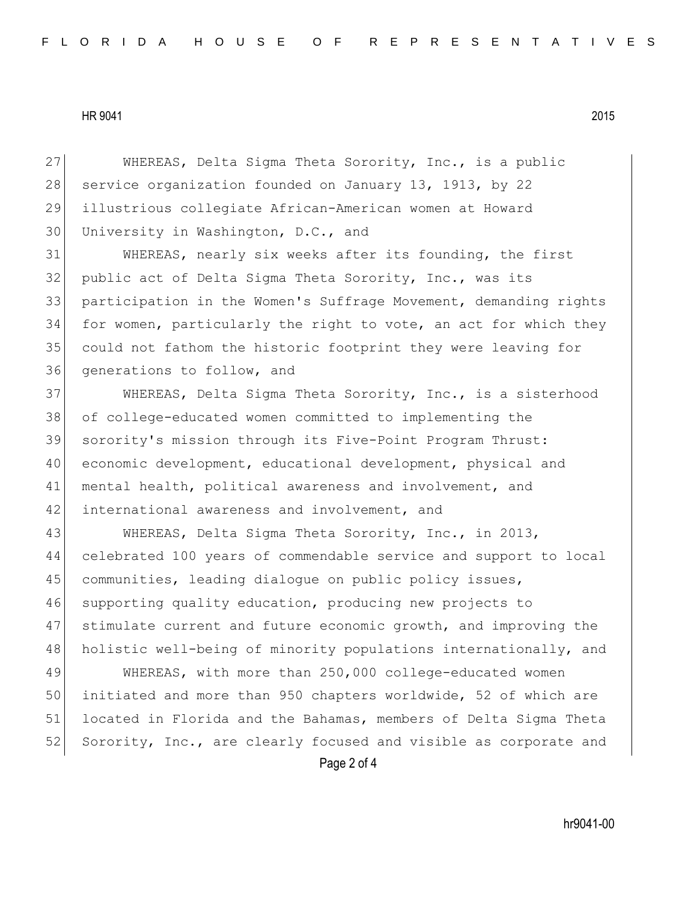27 WHEREAS, Delta Sigma Theta Sorority, Inc., is a public 28 service organization founded on January 13, 1913, by 22 29 illustrious collegiate African-American women at Howard 30 University in Washington, D.C., and

 WHEREAS, nearly six weeks after its founding, the first 32 public act of Delta Sigma Theta Sorority, Inc., was its participation in the Women's Suffrage Movement, demanding rights for women, particularly the right to vote, an act for which they could not fathom the historic footprint they were leaving for generations to follow, and

37 WHEREAS, Delta Sigma Theta Sorority, Inc., is a sisterhood of college-educated women committed to implementing the sorority's mission through its Five-Point Program Thrust: economic development, educational development, physical and mental health, political awareness and involvement, and 42 international awareness and involvement, and

 WHEREAS, Delta Sigma Theta Sorority, Inc., in 2013, celebrated 100 years of commendable service and support to local 45 communities, leading dialogue on public policy issues, supporting quality education, producing new projects to stimulate current and future economic growth, and improving the 48 holistic well-being of minority populations internationally, and

49 WHEREAS, with more than 250,000 college-educated women 50 initiated and more than 950 chapters worldwide, 52 of which are 51 located in Florida and the Bahamas, members of Delta Sigma Theta 52 Sorority, Inc., are clearly focused and visible as corporate and

Page 2 of 4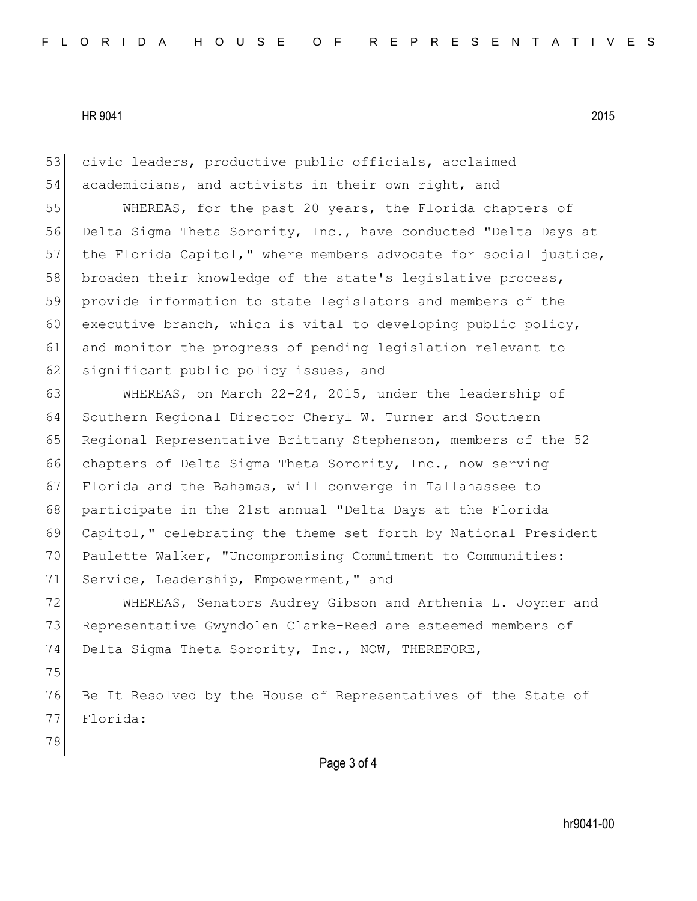53 civic leaders, productive public officials, acclaimed 54 academicians, and activists in their own right, and 55 WHEREAS, for the past 20 years, the Florida chapters of 56 Delta Sigma Theta Sorority, Inc., have conducted "Delta Days at 57 the Florida Capitol," where members advocate for social justice, 58 broaden their knowledge of the state's legislative process, 59 provide information to state legislators and members of the 60 executive branch, which is vital to developing public policy, 61 and monitor the progress of pending legislation relevant to 62 significant public policy issues, and 63 WHEREAS, on March 22-24, 2015, under the leadership of 64 Southern Regional Director Cheryl W. Turner and Southern 65 Regional Representative Brittany Stephenson, members of the 52 66 chapters of Delta Sigma Theta Sorority, Inc., now serving 67 Florida and the Bahamas, will converge in Tallahassee to 68 participate in the 21st annual "Delta Days at the Florida 69 Capitol," celebrating the theme set forth by National President

70 Paulette Walker, "Uncompromising Commitment to Communities: 71 Service, Leadership, Empowerment," and

72 WHEREAS, Senators Audrey Gibson and Arthenia L. Joyner and 73 Representative Gwyndolen Clarke-Reed are esteemed members of 74 Delta Sigma Theta Sorority, Inc., NOW, THEREFORE,

75

76 Be It Resolved by the House of Representatives of the State of 77 Florida:

78

Page 3 of 4